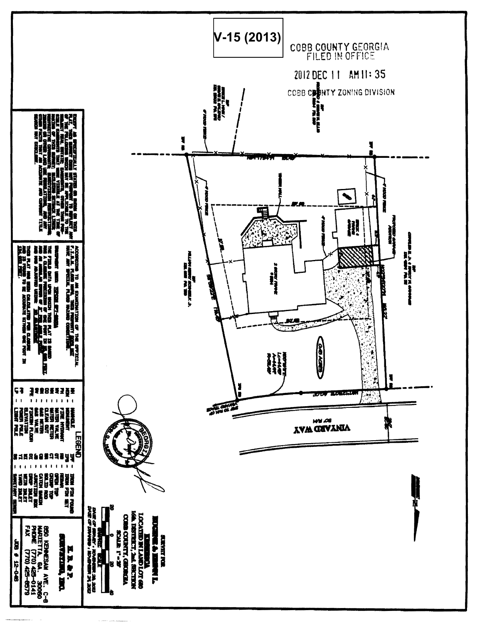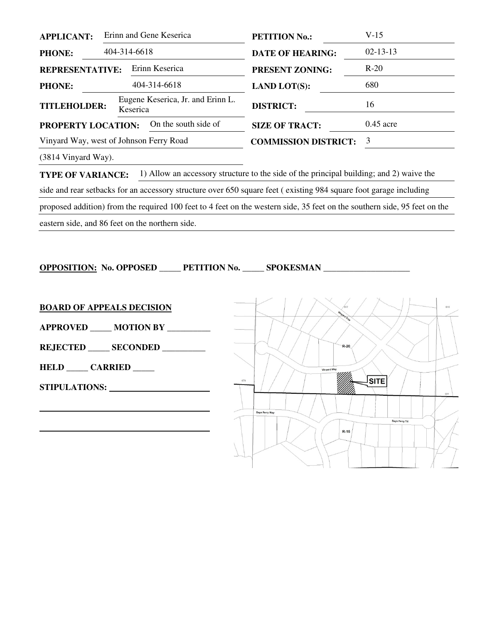| <b>APPLICANT:</b>                          | Erinn and Gene Keserica |          |                                   | <b>PETITION No.:</b>        | $V-15$         |
|--------------------------------------------|-------------------------|----------|-----------------------------------|-----------------------------|----------------|
| <b>PHONE:</b>                              | 404-314-6618            |          |                                   | <b>DATE OF HEARING:</b>     | $02 - 13 - 13$ |
| Erinn Keserica<br><b>REPRESENTATIVE:</b>   |                         |          |                                   | <b>PRESENT ZONING:</b>      | $R-20$         |
| <b>PHONE:</b>                              |                         |          | 404-314-6618                      | <b>LAND LOT(S):</b>         | 680            |
| <b>TITLEHOLDER:</b>                        |                         | Keserica | Eugene Keserica, Jr. and Erinn L. | <b>DISTRICT:</b>            | 16             |
| On the south side of<br>PROPERTY LOCATION: |                         |          |                                   | <b>SIZE OF TRACT:</b>       | $0.45$ acre    |
| Vinyard Way, west of Johnson Ferry Road    |                         |          |                                   | <b>COMMISSION DISTRICT:</b> | 3              |
|                                            |                         |          |                                   |                             |                |

(3814 Vinyard Way).

**TYPE OF VARIANCE:** 1) Allow an accessory structure to the side of the principal building; and 2) waive the side and rear setbacks for an accessory structure over 650 square feet ( existing 984 square foot garage including proposed addition) from the required 100 feet to 4 feet on the western side, 35 feet on the southern side, 95 feet on the eastern side, and 86 feet on the northern side.

**OPPOSITION: No. OPPOSED \_\_\_\_\_ PETITION No. \_\_\_\_\_ SPOKESMAN \_\_\_\_\_\_\_\_\_\_\_\_\_\_\_\_\_\_\_\_** 

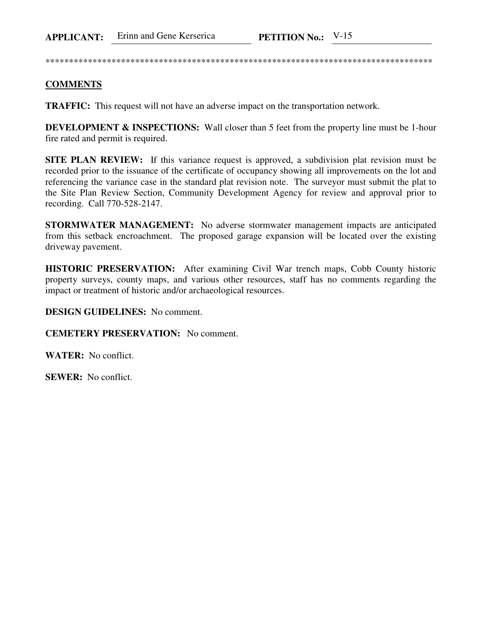\*\*\*\*\*\*\*\*\*\*\*\*\*\*\*\*\*\*\*\*\*\*\*\*\*\*\*\*\*\*\*\*\*\*\*\*\*\*\*\*\*\*\*\*\*\*\*\*\*\*\*\*\*\*\*\*\*\*\*\*\*\*\*\*\*\*\*\*\*\*\*\*\*\*\*\*\*\*\*\*\*\*

## **COMMENTS**

**TRAFFIC:** This request will not have an adverse impact on the transportation network.

**DEVELOPMENT & INSPECTIONS:** Wall closer than 5 feet from the property line must be 1-hour fire rated and permit is required.

**SITE PLAN REVIEW:** If this variance request is approved, a subdivision plat revision must be recorded prior to the issuance of the certificate of occupancy showing all improvements on the lot and referencing the variance case in the standard plat revision note. The surveyor must submit the plat to the Site Plan Review Section, Community Development Agency for review and approval prior to recording. Call 770-528-2147.

**STORMWATER MANAGEMENT:** No adverse stormwater management impacts are anticipated from this setback encroachment. The proposed garage expansion will be located over the existing driveway pavement.

**HISTORIC PRESERVATION:** After examining Civil War trench maps, Cobb County historic property surveys, county maps, and various other resources, staff has no comments regarding the impact or treatment of historic and/or archaeological resources.

## **DESIGN GUIDELINES:** No comment.

**CEMETERY PRESERVATION:** No comment.

**WATER:** No conflict.

**SEWER:** No conflict.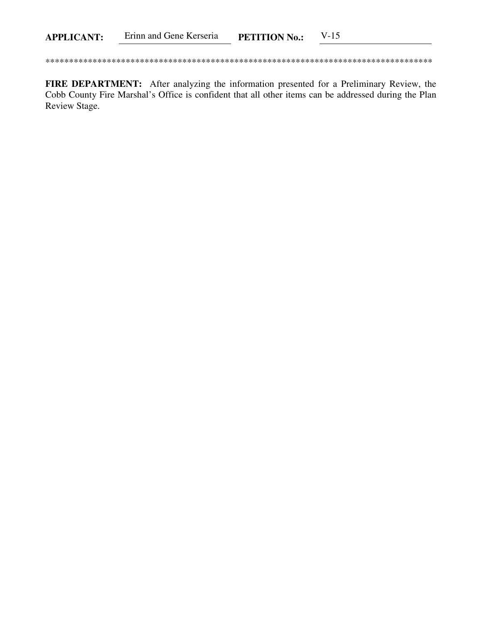FIRE DEPARTMENT: After analyzing the information presented for a Preliminary Review, the Cobb County Fire Marshal's Office is confident that all other items can be addressed during the Plan Review Stage.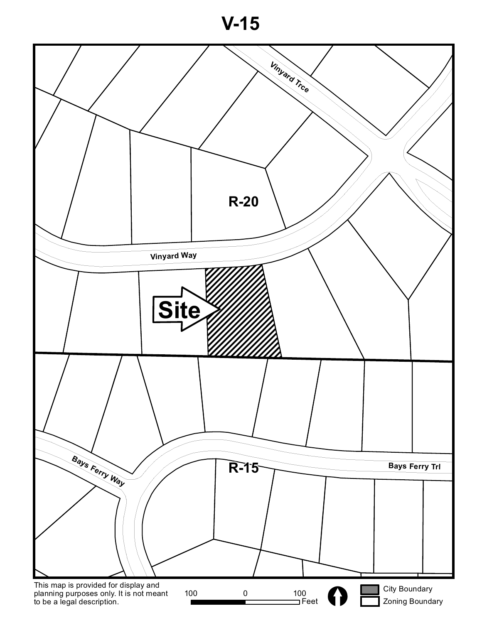**V-15**